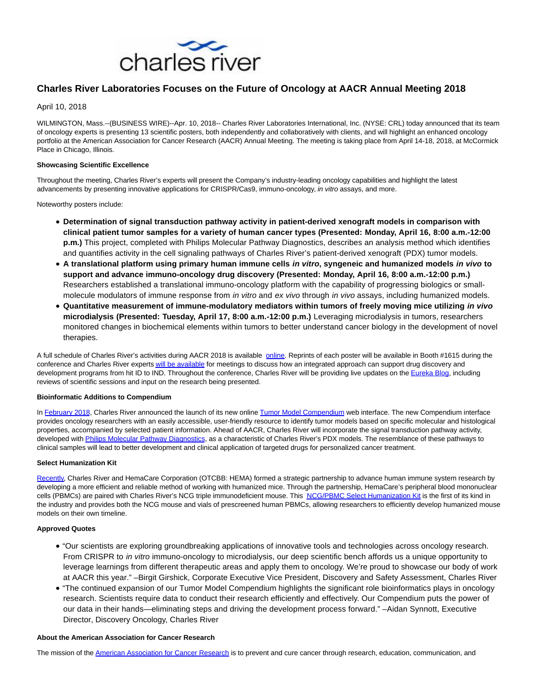

# **Charles River Laboratories Focuses on the Future of Oncology at AACR Annual Meeting 2018**

April 10, 2018

WILMINGTON, Mass.--(BUSINESS WIRE)--Apr. 10, 2018-- Charles River Laboratories International, Inc. (NYSE: CRL) today announced that its team of oncology experts is presenting 13 scientific posters, both independently and collaboratively with clients, and will highlight an enhanced oncology portfolio at the American Association for Cancer Research (AACR) Annual Meeting. The meeting is taking place from April 14-18, 2018, at McCormick Place in Chicago, Illinois.

## **Showcasing Scientific Excellence**

Throughout the meeting, Charles River's experts will present the Company's industry-leading oncology capabilities and highlight the latest advancements by presenting innovative applications for CRISPR/Cas9, immuno-oncology, in vitro assays, and more.

Noteworthy posters include:

- **Determination of signal transduction pathway activity in patient-derived xenograft models in comparison with clinical patient tumor samples for a variety of human cancer types (Presented: Monday, April 16, 8:00 a.m.-12:00 p.m.)** This project, completed with Philips Molecular Pathway Diagnostics, describes an analysis method which identifies and quantifies activity in the cell signaling pathways of Charles River's patient-derived xenograft (PDX) tumor models.
- **A translational platform using primary human immune cells in vitro, syngeneic and humanized models in vivo to support and advance immuno-oncology drug discovery (Presented: Monday, April 16, 8:00 a.m.-12:00 p.m.)** Researchers established a translational immuno-oncology platform with the capability of progressing biologics or smallmolecule modulators of immune response from *in vitro* and ex vivo through *in vivo* assays, including humanized models.
- **Quantitative measurement of immune-modulatory mediators within tumors of freely moving mice utilizing in vivo microdialysis (Presented: Tuesday, April 17, 8:00 a.m.-12:00 p.m.)** Leveraging microdialysis in tumors, researchers monitored changes in biochemical elements within tumors to better understand cancer biology in the development of novel therapies.

A full schedule of Charles River's activities during AACR 2018 is available [online.](http://cts.businesswire.com/ct/CT?id=smartlink&url=https%3A%2F%2Fwww.criver.com%2Feducation-training%2Faacr-annual-meeting-2018&esheet=51785933&newsitemid=20180410005475&lan=en-US&anchor=online&index=1&md5=a1ed1e728674e61fbddf1fb7c428401b) Reprints of each poster will be available in Booth #1615 during the conference and Charles River expert[s will be available f](http://cts.businesswire.com/ct/CT?id=smartlink&url=https%3A%2F%2Fcharlesriver.jifflenow.com%2Faacr2018%2Fexternal_request%2F15bfac&esheet=51785933&newsitemid=20180410005475&lan=en-US&anchor=will+be+available&index=2&md5=35221bac90c96fa57e767355339113e6)or meetings to discuss how an integrated approach can support drug discovery and development programs from hit ID to IND. Throughout the conference, Charles River will be providing live updates on the [Eureka Blog,](http://cts.businesswire.com/ct/CT?id=smartlink&url=http%3A%2F%2Feureka.criver.com%2F&esheet=51785933&newsitemid=20180410005475&lan=en-US&anchor=Eureka+Blog&index=3&md5=24785cf173d7fc6b40e105ea48245366) including reviews of scientific sessions and input on the research being presented.

# **Bioinformatic Additions to Compendium**

In [February 2018,](http://cts.businesswire.com/ct/CT?id=smartlink&url=http%3A%2F%2Fir.criver.com%2Fphoenix.zhtml%3Fc%3D121668%26p%3Dirol-newsArticle%26ID%3D2333636&esheet=51785933&newsitemid=20180410005475&lan=en-US&anchor=February+2018&index=4&md5=dc922219b08a909716dbf9687c79ccb5) Charles River announced the launch of its new online [Tumor Model Compendium w](http://cts.businesswire.com/ct/CT?id=smartlink&url=http%3A%2F%2Fwww2.criver.com%2Fl%2F60962%2F2016-07-13%2F9rjvzc%3F_ga%3D2.251279814.1531554509.1520446723-2137857109.1477321009&esheet=51785933&newsitemid=20180410005475&lan=en-US&anchor=Tumor+Model+Compendium&index=5&md5=4f755451ad7da589a736a27cb1b574ce)eb interface. The new Compendium interface provides oncology researchers with an easily accessible, user-friendly resource to identify tumor models based on specific molecular and histological properties, accompanied by selected patient information. Ahead of AACR, Charles River will incorporate the signal transduction pathway activity, developed wit[h Philips Molecular Pathway Diagnostics,](http://cts.businesswire.com/ct/CT?id=smartlink&url=https%3A%2F%2Fwww.philips.co.uk%2Fhealthcare%2Fsites%2Fhealthworks%2Foncosignal&esheet=51785933&newsitemid=20180410005475&lan=en-US&anchor=Philips+Molecular+Pathway+Diagnostics&index=6&md5=0e87c20898005a74e62567f0fc92d6ae) as a characteristic of Charles River's PDX models. The resemblance of these pathways to clinical samples will lead to better development and clinical application of targeted drugs for personalized cancer treatment.

#### **Select Humanization Kit**

[Recently,](http://cts.businesswire.com/ct/CT?id=smartlink&url=https%3A%2F%2Fwww.hemacare.com%2Fblog%2Fnews%2Fhemacare-charles-river-laboratories-announce-strategic-partnership-accelerate-drug-discovery-development%2F&esheet=51785933&newsitemid=20180410005475&lan=en-US&anchor=Recently&index=7&md5=50ac31962aa2f51ea0bde97258ed417f) Charles River and HemaCare Corporation (OTCBB: HEMA) formed a strategic partnership to advance human immune system research by developing a more efficient and reliable method of working with humanized mice. Through the partnership, HemaCare's peripheral blood mononuclear cells (PBMCs) are paired with Charles River's NCG triple immunodeficient mouse. This [NCG/PBMC Select Humanization Kit](http://cts.businesswire.com/ct/CT?id=smartlink&url=https%3A%2F%2Fwww.criver.com%2Fproducts-services%2Fresearch-models-services%2Fresearch-model-products%2Fncg-pbmc-select-humanization-kit%3Fregion%3D3611&esheet=51785933&newsitemid=20180410005475&lan=en-US&anchor=NCG%2FPBMC+Select+Humanization+Kit&index=8&md5=b25b886f60987a22fa0e35dbf4e831cc) is the first of its kind in the industry and provides both the NCG mouse and vials of prescreened human PBMCs, allowing researchers to efficiently develop humanized mouse models on their own timeline.

# **Approved Quotes**

- "Our scientists are exploring groundbreaking applications of innovative tools and technologies across oncology research. From CRISPR to in vitro immuno-oncology to microdialysis, our deep scientific bench affords us a unique opportunity to leverage learnings from different therapeutic areas and apply them to oncology. We're proud to showcase our body of work at AACR this year." –Birgit Girshick, Corporate Executive Vice President, Discovery and Safety Assessment, Charles River
- "The continued expansion of our Tumor Model Compendium highlights the significant role bioinformatics plays in oncology research. Scientists require data to conduct their research efficiently and effectively. Our Compendium puts the power of our data in their hands—eliminating steps and driving the development process forward." –Aidan Synnott, Executive Director, Discovery Oncology, Charles River

# **About the American Association for Cancer Research**

The mission of the [American Association for Cancer Research i](http://cts.businesswire.com/ct/CT?id=smartlink&url=http%3A%2F%2Fwww.aacr.org%2FPages%2FHome.aspx&esheet=51785933&newsitemid=20180410005475&lan=en-US&anchor=American+Association+for+Cancer+Research&index=9&md5=220b271b164910989090c61680eb69ba)s to prevent and cure cancer through research, education, communication, and